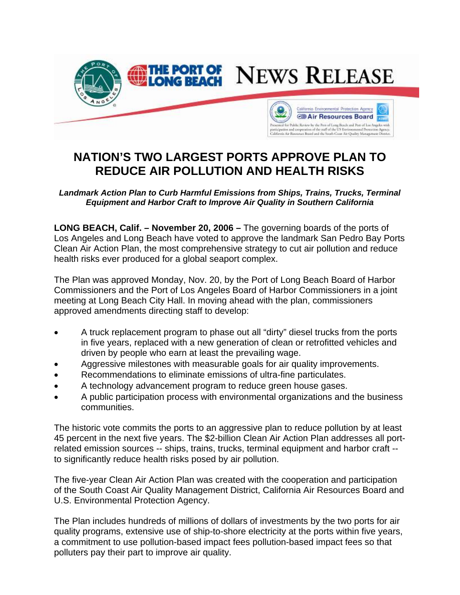

## **NATION'S TWO LARGEST PORTS APPROVE PLAN TO REDUCE AIR POLLUTION AND HEALTH RISKS**

*Landmark Action Plan to Curb Harmful Emissions from Ships, Trains, Trucks, Terminal Equipment and Harbor Craft to Improve Air Quality in Southern California* 

**LONG BEACH, Calif. – November 20, 2006 –** The governing boards of the ports of Los Angeles and Long Beach have voted to approve the landmark San Pedro Bay Ports Clean Air Action Plan, the most comprehensive strategy to cut air pollution and reduce health risks ever produced for a global seaport complex.

The Plan was approved Monday, Nov. 20, by the Port of Long Beach Board of Harbor Commissioners and the Port of Los Angeles Board of Harbor Commissioners in a joint meeting at Long Beach City Hall. In moving ahead with the plan, commissioners approved amendments directing staff to develop:

- A truck replacement program to phase out all "dirty" diesel trucks from the ports in five years, replaced with a new generation of clean or retrofitted vehicles and driven by people who earn at least the prevailing wage.
- Aggressive milestones with measurable goals for air quality improvements.
- Recommendations to eliminate emissions of ultra-fine particulates.
- A technology advancement program to reduce green house gases.
- A public participation process with environmental organizations and the business communities.

The historic vote commits the ports to an aggressive plan to reduce pollution by at least 45 percent in the next five years. The \$2-billion Clean Air Action Plan addresses all portrelated emission sources -- ships, trains, trucks, terminal equipment and harbor craft - to significantly reduce health risks posed by air pollution.

The five-year Clean Air Action Plan was created with the cooperation and participation of the South Coast Air Quality Management District, California Air Resources Board and U.S. Environmental Protection Agency.

The Plan includes hundreds of millions of dollars of investments by the two ports for air quality programs, extensive use of ship-to-shore electricity at the ports within five years, a commitment to use pollution-based impact fees pollution-based impact fees so that polluters pay their part to improve air quality.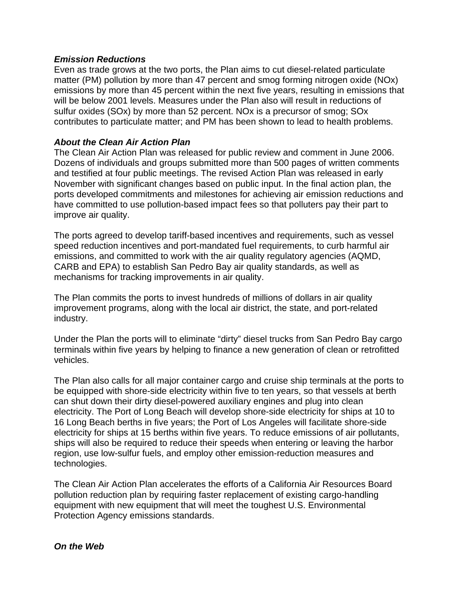## *Emission Reductions*

Even as trade grows at the two ports, the Plan aims to cut diesel-related particulate matter (PM) pollution by more than 47 percent and smog forming nitrogen oxide (NOx) emissions by more than 45 percent within the next five years, resulting in emissions that will be below 2001 levels. Measures under the Plan also will result in reductions of sulfur oxides (SOx) by more than 52 percent. NOx is a precursor of smog; SOx contributes to particulate matter; and PM has been shown to lead to health problems.

## *About the Clean Air Action Plan*

The Clean Air Action Plan was released for public review and comment in June 2006. Dozens of individuals and groups submitted more than 500 pages of written comments and testified at four public meetings. The revised Action Plan was released in early November with significant changes based on public input. In the final action plan, the ports developed commitments and milestones for achieving air emission reductions and have committed to use pollution-based impact fees so that polluters pay their part to improve air quality.

The ports agreed to develop tariff-based incentives and requirements, such as vessel speed reduction incentives and port-mandated fuel requirements, to curb harmful air emissions, and committed to work with the air quality regulatory agencies (AQMD, CARB and EPA) to establish San Pedro Bay air quality standards, as well as mechanisms for tracking improvements in air quality.

The Plan commits the ports to invest hundreds of millions of dollars in air quality improvement programs, along with the local air district, the state, and port-related industry.

Under the Plan the ports will to eliminate "dirty" diesel trucks from San Pedro Bay cargo terminals within five years by helping to finance a new generation of clean or retrofitted vehicles.

The Plan also calls for all major container cargo and cruise ship terminals at the ports to be equipped with shore-side electricity within five to ten years, so that vessels at berth can shut down their dirty diesel-powered auxiliary engines and plug into clean electricity. The Port of Long Beach will develop shore-side electricity for ships at 10 to 16 Long Beach berths in five years; the Port of Los Angeles will facilitate shore-side electricity for ships at 15 berths within five years. To reduce emissions of air pollutants, ships will also be required to reduce their speeds when entering or leaving the harbor region, use low-sulfur fuels, and employ other emission-reduction measures and technologies.

The Clean Air Action Plan accelerates the efforts of a California Air Resources Board pollution reduction plan by requiring faster replacement of existing cargo-handling equipment with new equipment that will meet the toughest U.S. Environmental Protection Agency emissions standards.